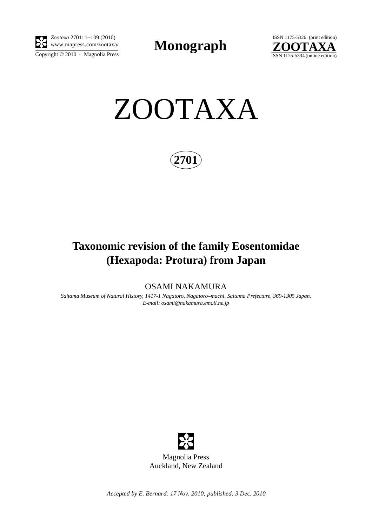

Copyright  $\odot$  2010 · Magnolia Press *Zootaxa* 2701: 1–109 (2010)

**Monograph** 



ZOOTAXA

**2701**

# **Taxonomic revision of the family Eosentomidae (Hexapoda: Protura) from Japan**

OSAMI NAKAMURA

*Saitama Museum of Natural History, 1417-1 Nagatoro, Nagatoro–machi, Saitama Prefecture, 369-1305 Japan. E-mail: osami@nakamura.email.ne.jp*



Magnolia Press Auckland, New Zealand

*Accepted by E. Bernard: 17 Nov. 2010; published: 3 Dec. 2010*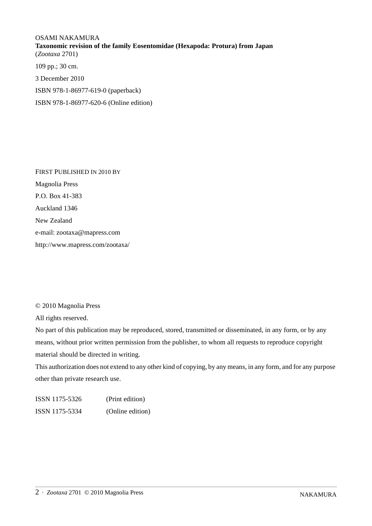OSAMI NAKAMURA **Taxonomic revision of the family Eosentomidae (Hexapoda: Protura) from Japan** (*Zootaxa* 2701) 109 pp.; 30 cm. 3 December 2010

ISBN 978-1-86977-619-0 (paperback)

ISBN 978-1-86977-620-6 (Online edition)

FIRST PUBLISHED IN 2010 BY Magnolia Press P.O. Box 41-383 Auckland 1346 New Zealand e-mail: zootaxa@mapress.com http://www.mapress.com/zootaxa/

© 2010 Magnolia Press

All rights reserved.

No part of this publication may be reproduced, stored, transmitted or disseminated, in any form, or by any means, without prior written permission from the publisher, to whom all requests to reproduce copyright material should be directed in writing.

This authorization does not extend to any other kind of copying, by any means, in any form, and for any purpose other than private research use.

ISSN 1175-5326 (Print edition) ISSN 1175-5334 (Online edition)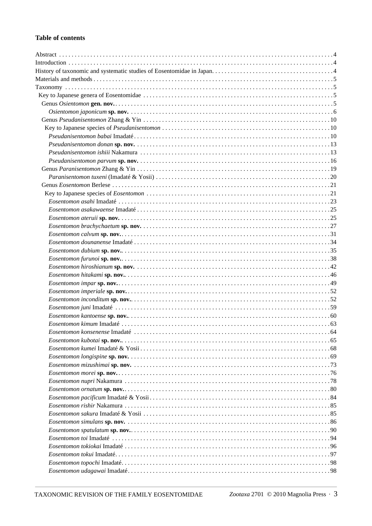# **Table of contents**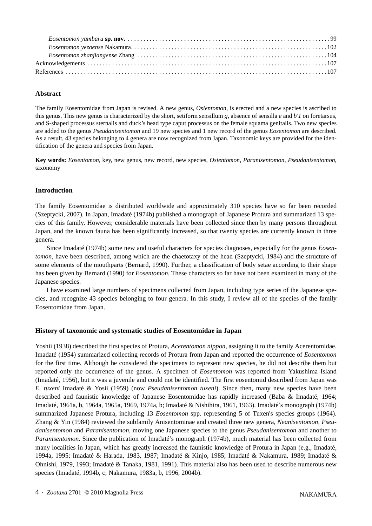# **Abstract**

The family Eosentomidae from Japan is revised. A new genus, *Osientomon,* is erected and a new species is ascribed to this genus. This new genus is characterized by the short, setiform sensillum *g,* absence of sensilla *e* and *b'1* on foretarsus*,* and S-shaped processus sternalis and duck's head type caput processus on the female squama genitalis. Two new species are added to the genus *Pseudanisentomon* and 19 new species and 1 new record of the genus *Eosentomon* are described. As a result, 43 species belonging to 4 genera are now recognized from Japan. Taxonomic keys are provided for the identification of the genera and species from Japan.

**Key words:** *Eosentomon*, key, new genus, new record, new species, *Osientomon*, *Paranisentomon*, *Pseudanisentomon*, taxonomy

## **Introduction**

The family Eosentomidae is distributed worldwide and approximately 310 species have so far been recorded (Szeptycki, 2007). In Japan, Imadaté (1974b) published a monograph of Japanese Protura and summarized 13 species of this family. However, considerable materials have been collected since then by many persons throughout Japan, and the known fauna has been significantly increased, so that twenty species are currently known in three genera.

Since Imadaté (1974b) some new and useful characters for species diagnoses, especially for the genus *Eosentomon*, have been described, among which are the chaetotaxy of the head (Szeptycki, 1984) and the structure of some elements of the mouthparts (Bernard, 1990). Further, a classification of body setae according to their shape has been given by Bernard (1990) for *Eosentomon*. These characters so far have not been examined in many of the Japanese species.

I have examined large numbers of specimens collected from Japan, including type series of the Japanese species, and recognize 43 species belonging to four genera. In this study, I review all of the species of the family Eosentomidae from Japan.

## **History of taxonomic and systematic studies of Eosentomidae in Japan**

Yoshii (1938) described the first species of Protura, *Acerentomon nippon*, assigning it to the family Acerentomidae. Imadaté (1954) summarized collecting records of Protura from Japan and reported the occurrence of *Eosentomon* for the first time. Although he considered the specimens to represent new species, he did not describe them but reported only the occurrence of the genus. A specimen of *Eosentomon* was reported from Yakushima Island (Imadaté, 1956), but it was a juvenile and could not be identified. The first eosentomid described from Japan was *E. tuxeni* Imadaté & Yosii (1959) (now *Pseudanisentomon tuxeni*). Since then, many new species have been described and faunistic knowledge of Japanese Eosentomidae has rapidly increased (Baba & Imadaté, 1964; Imadaté, 1961a, b, 1964a, 1965a, 1969, 1974a, b; Imadaté & Nishihira, 1961, 1963). Imadaté's monograph (1974b) summarized Japanese Protura, including 13 *Eosentomon* spp. representing 5 of Tuxen's species groups (1964). Zhang & Yin (1984) reviewed the subfamily Anisentominae and created three new genera, *Neanisentomon, Pseudanisentomon* and *Paranisentomon*, moving one Japanese species to the genus *Pseudanisentomon* and another to *Paranisentomon*. Since the publication of Imadaté's monograph (1974b), much material has been collected from many localities in Japan, which has greatly increased the faunistic knowledge of Protura in Japan (e.g., Imadaté, 1994a, 1995; Imadaté & Harada, 1983, 1987; Imadaté & Kinjo, 1985; Imadaté & Nakamura, 1989; Imadaté & Ohnishi, 1979, 1993; Imadaté & Tanaka, 1981, 1991). This material also has been used to describe numerous new species (Imadaté, 1994b, c; Nakamura, 1983a, b, 1996, 2004b).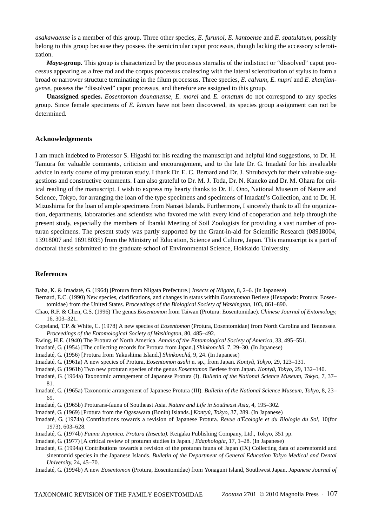*asakawaense* is a member of this group. Three other species, *E. furunoi, E. kantoense* and *E. spatulatum,* possibly belong to this group because they possess the semicircular caput processus, though lacking the accessory sclerotization.

*Maya***-group.** This group is characterized by the processus sternalis of the indistinct or "dissolved" caput processus appearing as a free rod and the corpus processus coalescing with the lateral sclerotization of stylus to form a broad or narrower structure terminating in the filum processus. Three species, *E. calvum, E. nupri* and *E. zhanjiangense*, possess the "dissolved" caput processus, and therefore are assigned to this group.

**Unassigned species.** *Eosentomon dounanense, E. morei* and *E. ornatum* do not correspond to any species group. Since female specimens of *E. kimum* have not been discovered, its species group assignment can not be determined.

#### **Acknowledgements**

I am much indebted to Professor S. Higashi for his reading the manuscript and helpful kind suggestions, to Dr. H. Tamura for valuable comments, criticism and encouragement, and to the late Dr. G. Imadaté for his invaluable advice in early course of my proturan study. I thank Dr. E. C. Bernard and Dr. J. Shrubovych for their valuable suggestions and constructive comments. I am also grateful to Dr. M. J. Toda, Dr. N. Kaneko and Dr. M. Ohara for critical reading of the manuscript. I wish to express my hearty thanks to Dr. H. Ono, National Museum of Nature and Science, Tokyo, for arranging the loan of the type specimens and specimens of Imadaté's Collection, and to Dr. H. Mizushima for the loan of ample specimens from Nansei Islands. Furthermore, I sincerely thank to all the organization, departments, laboratories and scientists who favored me with every kind of cooperation and help through the present study, especially the members of Ibaraki Meeting of Soil Zoologists for providing a vast number of proturan specimens. The present study was partly supported by the Grant-in-aid for Scientific Research (08918004, 13918007 and 16918035) from the Ministry of Education, Science and Culture, Japan. This manuscript is a part of doctoral thesis submitted to the graduate school of Environmental Science, Hokkaido University.

#### **References**

Baba, K. & Imadaté, G. (1964) [Protura from Niigata Prefecture.] *Insects of Niigata*, 8, 2–6. (In Japanese)

- Bernard, E.C. (1990) New species, clarifications, and changes in status within *Eosentomon* Berlese (Hexapoda: Protura: Eosentomidae) from the United States. *Proceedings of the Biological Society of Washington*, 103, 861–890.
- Chao, R.F. & Chen, C.S. (1996) The genus *Eosentomon* from Taiwan (Protura: Eosentomidae). *Chinese Journal of Entomology*, 16, 303–321.
- Copeland, T.P. & White, C. (1978) A new species of *Eosentomon* (Protura, Eosentomidae) from North Carolina and Tennessee. *Proceedings of the Entomological Society of Washington*, 80, 485–492.
- Ewing, H.E. (1940) The Protura of North America. *Annals of the Entomological Society of America*, 33, 495–551.
- Imadaté, G. (1954) [The collecting records for Protura from Japan.] *Shinkonchû*, 7, 29–30. (In Japanese)
- Imadaté, G. (1956) [Protura from Yakushima Island.] *Shinkonchû*, 9, 24. (In Japanese)
- Imadaté, G. (1961a) A new species of Protura, *Eosentomon asahi* n. sp., from Japan. *Kontyû, Tokyo*, 29, 123–131.
- Imadaté, G. (1961b) Two new proturan species of the genus *Eosentomon* Berlese from Japan. *Kontyû, Tokyo*, 29, 132–140.
- Imadaté, G. (1964a) Taxonomic arrangement of Japanese Protura (I). *Bulletin of the National Science Museum, Tokyo*, 7, 37– 81.
- Imadaté, G. (1965a) Taxonomic arrangement of Japanese Protura (III). *Bulletin of the National Science Museum, Tokyo*, 8, 23– 69.
- Imadaté, G. (1965b) Proturans-fauna of Southeast Asia. *Nature and Life in Southeast Asia*, 4, 195–302.
- Imadaté, G. (1969) [Protura from the Ogasawara (Bonin) Islands.] *Kontyû, Tokyo*, 37, 289. (In Japanese)
- Imadaté, G. (1974a) Contributions towards a revision of Japanese Protura. *Revue d'Écologie et du Biologie du Sol*, 10(for 1973), 603–628.
- Imadaté, G. (1974b) *Fauna Japonica. Protura (Insecta).* Keigaku Publishing Company, Ltd., Tokyo, 351 pp.
- Imadaté, G. (1977) [A critical review of proturan studies in Japan.] *Edaphologia*, 17, 1–28. (In Japanese)
- Imadaté, G. (1994a) Contributions towards a revision of the proturan fauna of Japan (IX) Collecting data of acerentomid and sinentomid species in the Japanese Islands. *Bulletin of the Department of General Education Tokyo Medical and Dental University*, 24, 45–70.
- Imadaté, G. (1994b) A new *Eosentomon* (Protura, Eosentomidae) from Yonaguni Island, Southwest Japan. *Japanese Journal of*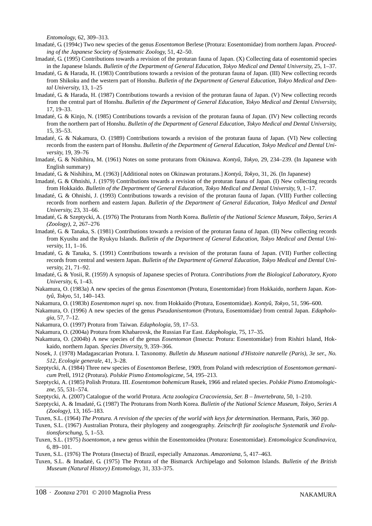*Entomology*, 62, 309–313.

- Imadaté, G. (1994c) Two new species of the genus *Eosentomon* Berlese (Protura: Eosentomidae) from northern Japan. *Proceeding of the Japanese Society of Systematic Zoology*, 51, 42–50.
- Imadaté, G. (1995) Contributions towards a revision of the proturan fauna of Japan. (X) Collecting data of eosentomid species in the Japanese Islands. *Bulletin of the Department of General Education, Tokyo Medical and Dental University*, 25, 1–37.
- Imadaté, G. & Harada, H. (1983) Contributions towards a revision of the proturan fauna of Japan. (III) New collecting records from Shikoku and the western part of Honshu. *Bulletin of the Department of General Education, Tokyo Medical and Dental University*, 13, 1–25
- Imadaté, G. & Harada, H. (1987) Contributions towards a revision of the proturan fauna of Japan. (V) New collecting records from the central part of Honshu. *Bulletin of the Department of General Education, Tokyo Medical and Dental University*, 17, 19–33.
- Imadaté, G. & Kinjo, N. (1985) Contributions towards a revision of the proturan fauna of Japan. (IV) New collecting records from the northern part of Honshu. *Bulletin of the Department of General Education, Tokyo Medical and Dental University*, 15, 35–53.
- Imadaté, G. & Nakamura, O. (1989) Contributions towards a revision of the proturan fauna of Japan. (VI) New collecting records from the eastern part of Honshu. *Bulletin of the Department of General Education, Tokyo Medical and Dental University*, 19, 39–76
- Imadaté, G. & Nishihira, M. (1961) Notes on some proturans from Okinawa. *Kontyû, Tokyo*, 29, 234–239. (In Japanese with English summary)
- Imadaté, G. & Nishihira, M. (1963) [Additional notes on Okinawan proturans.] *Kontyû, Tokyo*, 31, 26. (In Japanese)
- Imadaté, G. & Ohnishi, J. (1979) Contributions towards a revision of the proturan fauna of Japan. (I) New collecting records from Hokkaido. *Bulletin of the Department of General Education, Tokyo Medical and Dental University*, 9, 1–17.
- Imadaté, G. & Ohnishi, J. (1993) Contributions towards a revision of the proturan fauna of Japan. (VIII) Further collecting records from northern and eastern Japan. *Bulletin of the Department of General Education, Tokyo Medical and Dental University*, 23, 31–66.
- Imadaté, G. & Szeptycki, A. (1976) The Proturans from North Korea. *Bulletin of the National Science Museum, Tokyo, Series A (Zoology)*, 2, 267–276
- Imadaté, G. & Tanaka, S. (1981) Contributions towards a revision of the proturan fauna of Japan. (II) New collecting records from Kyushu and the Ryukyu Islands. *Bulletin of the Department of General Education, Tokyo Medical and Dental University*, 11, 1–16.
- Imadaté, G. & Tanaka, S. (1991) Contributions towards a revision of the proturan fauna of Japan. (VII) Further collecting records from central and western Japan. *Bulletin of the Department of General Education, Tokyo Medical and Dental University*, 21, 71–92.
- Imadaté, G. & Yosii, R. (1959) A synopsis of Japanese species of Protura. *Contributions from the Biological Laboratory, Kyoto University*, 6, 1–43.
- Nakamura, O. (1983a) A new species of the genus *Eosentomon* (Protura, Eosentomidae) from Hokkaido, northern Japan. *Kontyû, Tokyo*, 51, 140–143.
- Nakamura, O. (1983b) *Eosentomon nupri* sp. nov. from Hokkaido (Protura, Eosentomidae). *Kontyû, Tokyo*, 51, 596–600.
- Nakamura, O. (1996) A new species of the genus *Pseudanisentomon* (Protura, Eosentomidae) from central Japan. *Edaphologia*, 57, 7–12.
- Nakamura, O. (1997) Protura from Taiwan. *Edaphologia*, 59, 17–53.
- Nakamura, O. (2004a) Protura from Khabarovsk, the Russian Far East. *Edaphologia*, 75, 17–35.
- Nakamura, O. (2004b) A new species of the genus *Eosentomon* (Insecta: Protura: Eosentomidae) from Rishiri Island, Hokkaido, northern Japan. *Species Diversity*, 9, 359–366.
- Nosek, J. (1978) Madagascarian Protura. I. Taxonomy. *Bulletin du Museum national d'Histoire naturelle (Paris), 3e ser., No. 512, Ecologie generale*, 41, 3–28.
- Szeptycki, A. (1984) Three new species of *Eosentomon* Berlese, 1909, from Poland with redescription of *Eosentomon germanicum* Prell, 1912 (Protura). *Polskie Pismo Entomologiczne*, 54, 195–213.
- Szeptycki, A. (1985) Polish Protura. III. *Eosentomon bohemicum* Rusek, 1966 and related species. *Polskie Pismo Entomologiczne*, 55, 531–574.
- Szeptycki, A. (2007) Catalogue of the world Protura. *Acta zoologica Cracoviensia, Ser. B Invertebrata*, 50, 1–210.
- Szeptycki, A. & Imadaté, G. (1987) The Proturans from North Korea. *Bulletin of the National Science Museum, Tokyo, Series A (Zoology)*, 13, 165–183.
- Tuxen, S.L. (1964) *The Protura. A revision of the species of the world with keys for determination.* Hermann, Paris, 360 pp.
- Tuxen, S.L. (1967) Australian Protura, their phylogeny and zoogeography. *Zeitschrift für zoologische Systematik und Evolutionsforschung*, 5, 1–53.
- Tuxen, S.L. (1975) *Isoentomon*, a new genus within the Eosentomoidea (Protura: Eosentomidae). *Entomologica Scandinavica*, 6, 89–101.
- Tuxen, S.L. (1976) The Protura (Insecta) of Brazil, especially Amazonas. *Amazoniana*, 5, 417–463.
- Tuxen, S.L. & Imadaté, G. (1975) The Protura of the Bismarck Archipelago and Solomon Islands. *Bulletin of the British Museum (Natural History) Entomology*, 31, 333–375.